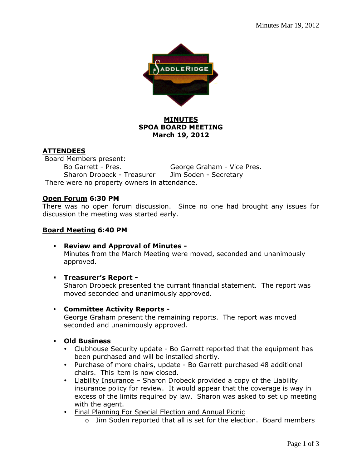

# **MINUTES SPOA BOARD MEETING March 19, 2012**

# **ATTENDEES**

 Board Members present: Bo Garrett - Pres. George Graham - Vice Pres. Sharon Drobeck - Treasurer Jim Soden - Secretary There were no property owners in attendance.

### **Open Forum 6:30 PM**

There was no open forum discussion. Since no one had brought any issues for discussion the meeting was started early.

### **Board Meeting 6:40 PM**

- **Review and Approval of Minutes -** Minutes from the March Meeting were moved, seconded and unanimously approved.
- **Treasurer's Report**

Sharon Drobeck presented the currant financial statement. The report was moved seconded and unanimously approved.

**Committee Activity Reports -**

George Graham present the remaining reports. The report was moved seconded and unanimously approved.

- **Old Business** 
	- Clubhouse Security update Bo Garrett reported that the equipment has been purchased and will be installed shortly.
	- Purchase of more chairs, update Bo Garrett purchased 48 additional chairs. This item is now closed.
	- Liability Insurance Sharon Drobeck provided a copy of the Liability insurance policy for review. It would appear that the coverage is way in excess of the limits required by law. Sharon was asked to set up meeting with the agent.
	- Final Planning For Special Election and Annual Picnic
		- o Jim Soden reported that all is set for the election. Board members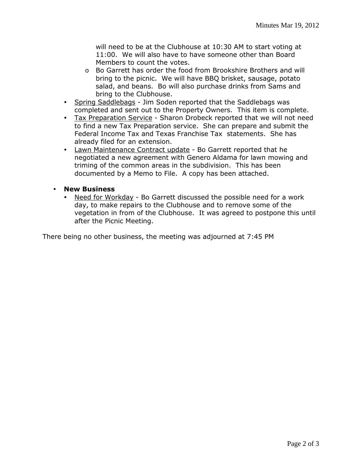will need to be at the Clubhouse at 10:30 AM to start voting at 11:00. We will also have to have someone other than Board Members to count the votes.

- o Bo Garrett has order the food from Brookshire Brothers and will bring to the picnic. We will have BBQ brisket, sausage, potato salad, and beans. Bo will also purchase drinks from Sams and bring to the Clubhouse.
- Spring Saddlebags Jim Soden reported that the Saddlebags was completed and sent out to the Property Owners. This item is complete.
- Tax Preparation Service Sharon Drobeck reported that we will not need to find a new Tax Preparation service. She can prepare and submit the Federal Income Tax and Texas Franchise Tax statements. She has already filed for an extension.
- Lawn Maintenance Contract update Bo Garrett reported that he negotiated a new agreement with Genero Aldama for lawn mowing and triming of the common areas in the subdivision. This has been documented by a Memo to File. A copy has been attached.
- **New Business**
	- Need for Workday Bo Garrett discussed the possible need for a work day, to make repairs to the Clubhouse and to remove some of the vegetation in from of the Clubhouse. It was agreed to postpone this until after the Picnic Meeting.

There being no other business, the meeting was adjourned at 7:45 PM